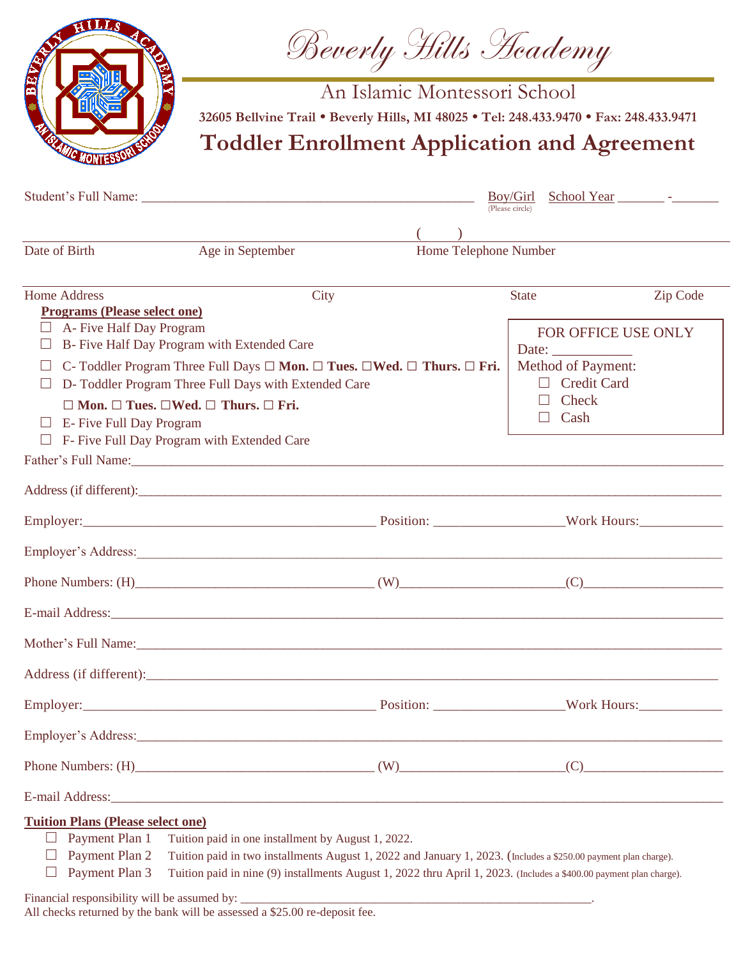

Beverly Hills Academy

An Islamic Montessori School

**32605 Bellvine Trail • Beverly Hills, MI 48025 • Tel: 248.433.9470 • Fax: 248.433.9471**

**Toddler Enrollment Application and Agreement**

|                                                                                                                                                                                                                   |                                                                                                                                                                                                                                | Boy/Girl<br>(Please circle)                                                                                                                                                                                                            |                                                                               |          |
|-------------------------------------------------------------------------------------------------------------------------------------------------------------------------------------------------------------------|--------------------------------------------------------------------------------------------------------------------------------------------------------------------------------------------------------------------------------|----------------------------------------------------------------------------------------------------------------------------------------------------------------------------------------------------------------------------------------|-------------------------------------------------------------------------------|----------|
|                                                                                                                                                                                                                   |                                                                                                                                                                                                                                |                                                                                                                                                                                                                                        | <u> 1989 - Johann Stein, mars an deutscher Stein († 1989)</u>                 |          |
| Date of Birth                                                                                                                                                                                                     | Age in September                                                                                                                                                                                                               | Home Telephone Number                                                                                                                                                                                                                  |                                                                               |          |
| <b>Home Address</b><br><b>Programs (Please select one)</b>                                                                                                                                                        | City                                                                                                                                                                                                                           |                                                                                                                                                                                                                                        | <b>State</b>                                                                  | Zip Code |
| A- Five Half Day Program                                                                                                                                                                                          | B- Five Half Day Program with Extended Care                                                                                                                                                                                    |                                                                                                                                                                                                                                        | FOR OFFICE USE ONLY<br>Date: $\frac{1}{\sqrt{1-\frac{1}{2}}\cdot\frac{1}{2}}$ |          |
| C- Toddler Program Three Full Days $\square$ <b>Mon.</b> $\square$ <b>Tues.</b> $\square$ <b>Wed.</b> $\square$ <b>Thurs.</b> $\square$ <b>Fri.</b><br>ш<br>D- Toddler Program Three Full Days with Extended Care |                                                                                                                                                                                                                                |                                                                                                                                                                                                                                        | <b>Method of Payment:</b><br>$\Box$ Credit Card                               |          |
| E-Five Full Day Program<br>$\perp$<br>$\Box$                                                                                                                                                                      | $\Box$ Mon. $\Box$ Tues. $\Box$ Wed. $\Box$ Thurs. $\Box$ Fri.<br>F- Five Full Day Program with Extended Care                                                                                                                  |                                                                                                                                                                                                                                        | Check<br>$\Box$ Cash                                                          |          |
|                                                                                                                                                                                                                   | Father's Full Name: 1988 and 1988 and 1988 and 1988 and 1988 and 1988 and 1988 and 1988 and 1988 and 1988 and 1988 and 1988 and 1988 and 1988 and 1988 and 1988 and 1988 and 1988 and 1988 and 1988 and 1988 and 1988 and 1988 |                                                                                                                                                                                                                                        |                                                                               |          |
|                                                                                                                                                                                                                   |                                                                                                                                                                                                                                |                                                                                                                                                                                                                                        |                                                                               |          |
|                                                                                                                                                                                                                   |                                                                                                                                                                                                                                |                                                                                                                                                                                                                                        |                                                                               |          |
|                                                                                                                                                                                                                   |                                                                                                                                                                                                                                |                                                                                                                                                                                                                                        |                                                                               |          |
|                                                                                                                                                                                                                   | Phone Numbers: $(H)$ (W) (W) (C)                                                                                                                                                                                               |                                                                                                                                                                                                                                        |                                                                               |          |
|                                                                                                                                                                                                                   |                                                                                                                                                                                                                                |                                                                                                                                                                                                                                        |                                                                               |          |
|                                                                                                                                                                                                                   |                                                                                                                                                                                                                                |                                                                                                                                                                                                                                        |                                                                               |          |
|                                                                                                                                                                                                                   |                                                                                                                                                                                                                                |                                                                                                                                                                                                                                        |                                                                               |          |
|                                                                                                                                                                                                                   | Employer: Work Hours: Work Hours:                                                                                                                                                                                              |                                                                                                                                                                                                                                        |                                                                               |          |
|                                                                                                                                                                                                                   |                                                                                                                                                                                                                                |                                                                                                                                                                                                                                        |                                                                               |          |
|                                                                                                                                                                                                                   | Phone Numbers: $(H)$ (W)                                                                                                                                                                                                       |                                                                                                                                                                                                                                        |                                                                               | (C)      |
|                                                                                                                                                                                                                   |                                                                                                                                                                                                                                |                                                                                                                                                                                                                                        |                                                                               |          |
| <b>Tuition Plans (Please select one)</b><br>Payment Plan 1<br>Payment Plan 2<br>Payment Plan 3                                                                                                                    | Tuition paid in one installment by August 1, 2022.                                                                                                                                                                             | Tuition paid in two installments August 1, 2022 and January 1, 2023. (Includes a \$250.00 payment plan charge).<br>Tuition paid in nine (9) installments August 1, 2022 thru April 1, 2023. (Includes a \$400.00 payment plan charge). |                                                                               |          |

Financial responsibility will be assumed by:

All checks returned by the bank will be assessed a \$25.00 re-deposit fee.